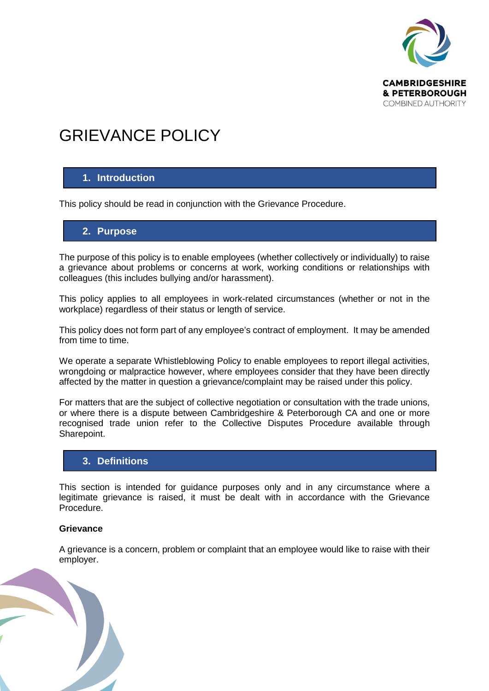

# GRIEVANCE POLICY

#### **1. Introduction**

This policy should be read in conjunction with the Grievance Procedure.

#### **2. Purpose**

The purpose of this policy is to enable employees (whether collectively or individually) to raise a grievance about problems or concerns at work, working conditions or relationships with colleagues (this includes bullying and/or harassment).

This policy applies to all employees in work-related circumstances (whether or not in the workplace) regardless of their status or length of service.

This policy does not form part of any employee's contract of employment. It may be amended from time to time.

We operate a separate Whistleblowing Policy to enable employees to report illegal activities, wrongdoing or malpractice however, where employees consider that they have been directly affected by the matter in question a grievance/complaint may be raised under this policy.

For matters that are the subject of collective negotiation or consultation with the trade unions, or where there is a dispute between Cambridgeshire & Peterborough CA and one or more recognised trade union refer to the Collective Disputes Procedure available through Sharepoint.

#### **3. Definitions**

This section is intended for guidance purposes only and in any circumstance where a legitimate grievance is raised, it must be dealt with in accordance with the Grievance Procedure.

#### **Grievance**

A grievance is a concern, problem or complaint that an employee would like to raise with their employer.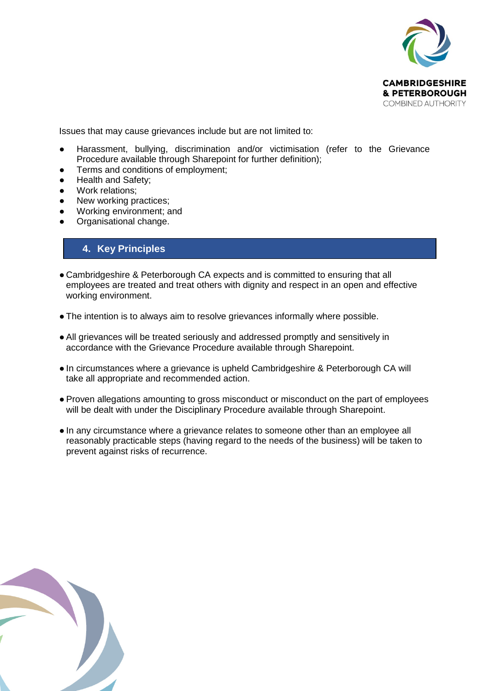

Issues that may cause grievances include but are not limited to:

- Harassment, bullying, discrimination and/or victimisation (refer to the Grievance Procedure available through Sharepoint for further definition);
- Terms and conditions of employment;
- Health and Safety;
- Work relations;
- New working practices;
- Working environment; and
- Organisational change.

### **4. Key Principles**

- Cambridgeshire & Peterborough CA expects and is committed to ensuring that all employees are treated and treat others with dignity and respect in an open and effective working environment.
- The intention is to always aim to resolve grievances informally where possible.
- All grievances will be treated seriously and addressed promptly and sensitively in accordance with the Grievance Procedure available through Sharepoint.
- In circumstances where a grievance is upheld Cambridgeshire & Peterborough CA will take all appropriate and recommended action.
- Proven allegations amounting to gross misconduct or misconduct on the part of employees will be dealt with under the Disciplinary Procedure available through Sharepoint.
- In any circumstance where a grievance relates to someone other than an employee all reasonably practicable steps (having regard to the needs of the business) will be taken to prevent against risks of recurrence.

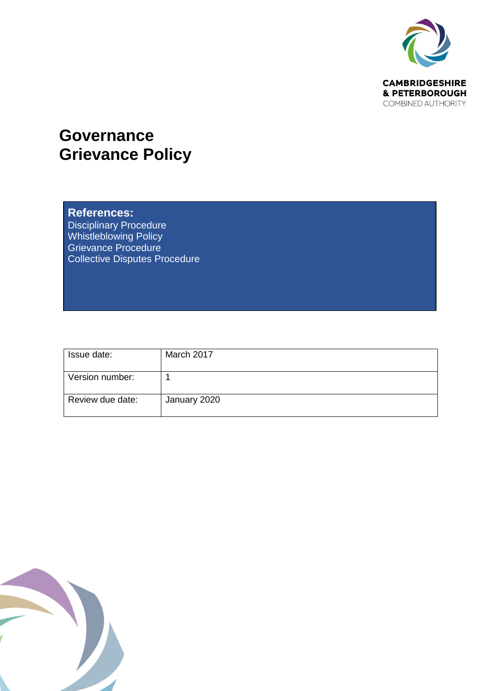

## **Governance Grievance Policy**

### **References:**

Disciplinary Procedure Whistleblowing Policy Grievance Procedure Collective Disputes Procedure

| Issue date:      | March 2017   |
|------------------|--------------|
|                  |              |
| Version number:  |              |
|                  |              |
| Review due date: | January 2020 |
|                  |              |